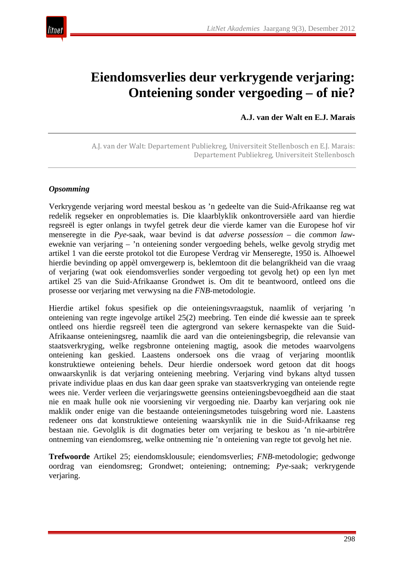

# **Eiendomsverlies deur verkrygende verjaring: Onteiening sonder vergoeding – of nie?**

**A.J. van der Walt en E.J. Marais**

A.J. van der Walt: Departement Publiekreg, Universiteit Stellenbosch en E.J. Marais: Departement Publiekreg, Universiteit Stellenbosch

#### *Opsomming*

Verkrygende verjaring word meestal beskou as 'n gedeelte van die Suid-Afrikaanse reg wat redelik regseker en onproblematies is. Die klaarblyklik onkontroversiële aard van hierdie regsreël is egter onlangs in twyfel getrek deur die vierde kamer van die Europese hof vir menseregte in die *Pye*-saak, waar bevind is dat *adverse possession* – die *common law*eweknie van verjaring – 'n onteiening sonder vergoeding behels, welke gevolg strydig met artikel 1 van die eerste protokol tot die Europese Verdrag vir Menseregte, 1950 is. Alhoewel hierdie bevinding op appèl omvergewerp is, beklemtoon dit die belangrikheid van die vraag of verjaring (wat ook eiendomsverlies sonder vergoeding tot gevolg het) op een lyn met artikel 25 van die Suid-Afrikaanse Grondwet is. Om dit te beantwoord, ontleed ons die prosesse oor verjaring met verwysing na die *FNB*-metodologie.

Hierdie artikel fokus spesifiek op die onteieningsvraagstuk, naamlik of verjaring 'n onteiening van regte ingevolge artikel 25(2) meebring. Ten einde dié kwessie aan te spreek ontleed ons hierdie regsreël teen die agtergrond van sekere kernaspekte van die Suid-Afrikaanse onteieningsreg, naamlik die aard van die onteieningsbegrip, die relevansie van staatsverkryging, welke regsbronne onteiening magtig, asook die metodes waarvolgens onteiening kan geskied. Laastens ondersoek ons die vraag of verjaring moontlik konstruktiewe onteiening behels. Deur hierdie ondersoek word getoon dat dit hoogs onwaarskynlik is dat verjaring onteiening meebring. Verjaring vind bykans altyd tussen private individue plaas en dus kan daar geen sprake van staatsverkryging van onteiende regte wees nie. Verder verleen die verjaringswette geensins onteieningsbevoegdheid aan die staat nie en maak hulle ook nie voorsiening vir vergoeding nie. Daarby kan verjaring ook nie maklik onder enige van die bestaande onteieningsmetodes tuisgebring word nie. Laastens redeneer ons dat konstruktiewe onteiening waarskynlik nie in die Suid-Afrikaanse reg bestaan nie. Gevolglik is dit dogmaties beter om verjaring te beskou as 'n nie-arbitrêre ontneming van eiendomsreg, welke ontneming nie 'n onteiening van regte tot gevolg het nie.

**Trefwoorde** Artikel 25; eiendomsklousule; eiendomsverlies; *FNB*-metodologie; gedwonge oordrag van eiendomsreg; Grondwet; onteiening; ontneming; *Pye*-saak; verkrygende verjaring.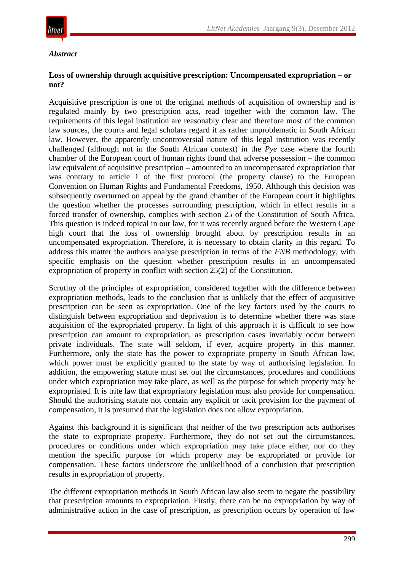

#### *Abstract*

#### **Loss of ownership through acquisitive prescription: Uncompensated expropriation – or not?**

Acquisitive prescription is one of the original methods of acquisition of ownership and is regulated mainly by two prescription acts, read together with the common law. The requirements of this legal institution are reasonably clear and therefore most of the common law sources, the courts and legal scholars regard it as rather unproblematic in South African law. However, the apparently uncontroversial nature of this legal institution was recently challenged (although not in the South African context) in the *Pye* case where the fourth chamber of the European court of human rights found that adverse possession – the common law equivalent of acquisitive prescription – amounted to an uncompensated expropriation that was contrary to article 1 of the first protocol (the property clause) to the European Convention on Human Rights and Fundamental Freedoms, 1950. Although this decision was subsequently overturned on appeal by the grand chamber of the European court it highlights the question whether the processes surrounding prescription, which in effect results in a forced transfer of ownership, complies with section 25 of the Constitution of South Africa. This question is indeed topical in our law, for it was recently argued before the Western Cape high court that the loss of ownership brought about by prescription results in an uncompensated expropriation. Therefore, it is necessary to obtain clarity in this regard. To address this matter the authors analyse prescription in terms of the *FNB* methodology, with specific emphasis on the question whether prescription results in an uncompensated expropriation of property in conflict with section 25(2) of the Constitution.

Scrutiny of the principles of expropriation, considered together with the difference between expropriation methods, leads to the conclusion that is unlikely that the effect of acquisitive prescription can be seen as expropriation. One of the key factors used by the courts to distinguish between expropriation and deprivation is to determine whether there was state acquisition of the expropriated property. In light of this approach it is difficult to see how prescription can amount to expropriation, as prescription cases invariably occur between private individuals. The state will seldom, if ever, acquire property in this manner. Furthermore, only the state has the power to expropriate property in South African law, which power must be explicitly granted to the state by way of authorising legislation. In addition, the empowering statute must set out the circumstances, procedures and conditions under which expropriation may take place, as well as the purpose for which property may be expropriated. It is trite law that expropriatory legislation must also provide for compensation. Should the authorising statute not contain any explicit or tacit provision for the payment of compensation, it is presumed that the legislation does not allow expropriation.

Against this background it is significant that neither of the two prescription acts authorises the state to expropriate property. Furthermore, they do not set out the circumstances, procedures or conditions under which expropriation may take place either, nor do they mention the specific purpose for which property may be expropriated or provide for compensation. These factors underscore the unlikelihood of a conclusion that prescription results in expropriation of property.

The different expropriation methods in South African law also seem to negate the possibility that prescription amounts to expropriation. Firstly, there can be no expropriation by way of administrative action in the case of prescription, as prescription occurs by operation of law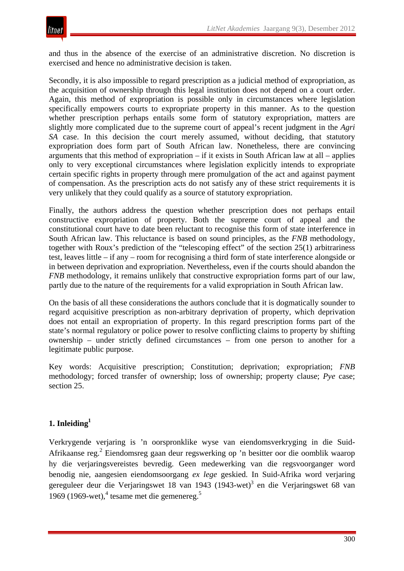and thus in the absence of the exercise of an administrative discretion. No discretion is exercised and hence no administrative decision is taken.

Secondly, it is also impossible to regard prescription as a judicial method of expropriation, as the acquisition of ownership through this legal institution does not depend on a court order. Again, this method of expropriation is possible only in circumstances where legislation specifically empowers courts to expropriate property in this manner. As to the question whether prescription perhaps entails some form of statutory expropriation, matters are slightly more complicated due to the supreme court of appeal's recent judgment in the *Agri SA* case. In this decision the court merely assumed, without deciding, that statutory expropriation does form part of South African law. Nonetheless, there are convincing arguments that this method of expropriation – if it exists in South African law at all – applies only to very exceptional circumstances where legislation explicitly intends to expropriate certain specific rights in property through mere promulgation of the act and against payment of compensation. As the prescription acts do not satisfy any of these strict requirements it is very unlikely that they could qualify as a source of statutory expropriation.

Finally, the authors address the question whether prescription does not perhaps entail constructive expropriation of property. Both the supreme court of appeal and the constitutional court have to date been reluctant to recognise this form of state interference in South African law. This reluctance is based on sound principles, as the *FNB* methodology, together with Roux's prediction of the "telescoping effect" of the section 25(1) arbitrariness test, leaves little – if any – room for recognising a third form of state interference alongside or in between deprivation and expropriation. Nevertheless, even if the courts should abandon the *FNB* methodology, it remains unlikely that constructive expropriation forms part of our law, partly due to the nature of the requirements for a valid expropriation in South African law.

On the basis of all these considerations the authors conclude that it is dogmatically sounder to regard acquisitive prescription as non-arbitrary deprivation of property, which deprivation does not entail an expropriation of property. In this regard prescription forms part of the state's normal regulatory or police power to resolve conflicting claims to property by shifting ownership – under strictly defined circumstances – from one person to another for a legitimate public purpose.

Key words: Acquisitive prescription; Constitution; deprivation; expropriation; *FNB* methodology; forced transfer of ownership; loss of ownership; property clause; *Pye* case; section 25.

# **1. Inleiding1**

Verkrygende verjaring is 'n oorspronklike wyse van eiendomsverkryging in die Suid-Afrikaanse reg.<sup>2</sup> Eiendomsreg gaan deur regswerking op 'n besitter oor die oomblik waarop hy die verjaringsvereistes bevredig. Geen medewerking van die regsvoorganger word benodig nie, aangesien eiendomsoorgang *ex lege* geskied. In Suid-Afrika word verjaring gereguleer deur die Verjaringswet 18 van 1943 (1943-wet)<sup>3</sup> en die Verjaringswet 68 van 1969 (1969-wet), $4$  tesame met die gemenereg.<sup>5</sup>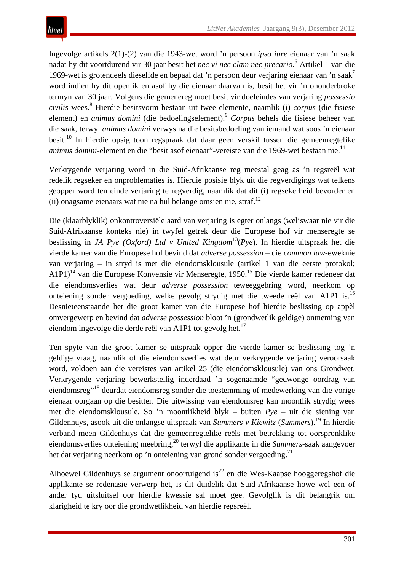Ingevolge artikels 2(1)-(2) van die 1943-wet word 'n persoon *ipso iure* eienaar van 'n saak nadat hy dit voortdurend vir 30 jaar besit het *nec vi nec clam nec precario*. <sup>6</sup> Artikel 1 van die 1969-wet is grotendeels dieselfde en bepaal dat 'n persoon deur verjaring eienaar van 'n saak<sup>7</sup> word indien hy dit openlik en asof hy die eienaar daarvan is, besit het vir 'n ononderbroke termyn van 30 jaar. Volgens die gemenereg moet besit vir doeleindes van verjaring *possessio civilis* wees.8 Hierdie besitsvorm bestaan uit twee elemente, naamlik (i) *corpus* (die fisiese element) en *animus domini* (die bedoelingselement).9 *Corpus* behels die fisiese beheer van die saak, terwyl *animus domini* verwys na die besitsbedoeling van iemand wat soos 'n eienaar besit.10 In hierdie opsig toon regspraak dat daar geen verskil tussen die gemeenregtelike *animus domini*-element en die "besit asof eienaar"-vereiste van die 1969-wet bestaan nie.<sup>11</sup>

Verkrygende verjaring word in die Suid-Afrikaanse reg meestal geag as 'n regsreël wat redelik regseker en onproblematies is. Hierdie posisie blyk uit die regverdigings wat telkens geopper word ten einde verjaring te regverdig, naamlik dat dit (i) regsekerheid bevorder en (ii) onagsame eienaars wat nie na hul belange omsien nie, straf.<sup>12</sup>

Die (klaarblyklik) onkontroversiële aard van verjaring is egter onlangs (weliswaar nie vir die Suid-Afrikaanse konteks nie) in twyfel getrek deur die Europese hof vir menseregte se beslissing in *JA Pye (Oxford) Ltd v United Kingdom*13(*Pye*). In hierdie uitspraak het die vierde kamer van die Europese hof bevind dat *adverse possession* – die *common law-*eweknie van verjaring – in stryd is met die eiendomsklousule (artikel 1 van die eerste protokol; A1P1)<sup>14</sup> van die Europese Konvensie vir Menseregte, 1950.<sup>15</sup> Die vierde kamer redeneer dat die eiendomsverlies wat deur *adverse possession* teweeggebring word, neerkom op onteiening sonder vergoeding, welke gevolg strydig met die tweede reël van A1P1 is.16 Desnieteenstaande het die groot kamer van die Europese hof hierdie beslissing op appèl omvergewerp en bevind dat *adverse possession* bloot 'n (grondwetlik geldige) ontneming van eiendom ingevolge die derde reël van A1P1 tot gevolg het.<sup>17</sup>

Ten spyte van die groot kamer se uitspraak opper die vierde kamer se beslissing tog 'n geldige vraag, naamlik of die eiendomsverlies wat deur verkrygende verjaring veroorsaak word, voldoen aan die vereistes van artikel 25 (die eiendomsklousule) van ons Grondwet. Verkrygende verjaring bewerkstellig inderdaad 'n sogenaamde "gedwonge oordrag van eiendomsreg"<sup>18</sup> deurdat eiendomsreg sonder die toestemming of medewerking van die vorige eienaar oorgaan op die besitter. Die uitwissing van eiendomsreg kan moontlik strydig wees met die eiendomsklousule. So 'n moontlikheid blyk – buiten *Pye* – uit die siening van Gildenhuys, asook uit die onlangse uitspraak van *Summers v Kiewitz* (*Summers*).<sup>19</sup> In hierdie verband meen Gildenhuys dat die gemeenregtelike reëls met betrekking tot oorspronklike eiendomsverlies onteiening meebring,20 terwyl die applikante in die *Summers*-saak aangevoer het dat verjaring neerkom op 'n onteiening van grond sonder vergoeding.<sup>21</sup>

Alhoewel Gildenhuys se argument onoortuigend is<sup>22</sup> en die Wes-Kaapse hooggeregshof die applikante se redenasie verwerp het, is dit duidelik dat Suid-Afrikaanse howe wel een of ander tyd uitsluitsel oor hierdie kwessie sal moet gee. Gevolglik is dit belangrik om klarigheid te kry oor die grondwetlikheid van hierdie regsreël.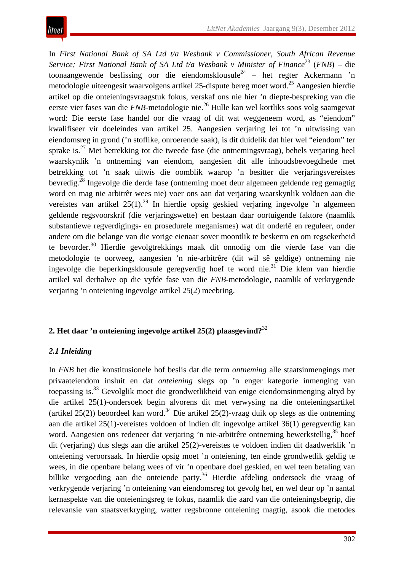In *First National Bank of SA Ltd t/a Wesbank v Commissioner, South African Revenue Service; First National Bank of SA Ltd t/a Wesbank v Minister of Finance*<sup>23</sup> (*FNB*) – die toonaangewende beslissing oor die eiendomsklousule<sup>24</sup> – het regter Ackermann 'n metodologie uiteengesit waarvolgens artikel 25-dispute bereg moet word.<sup>25</sup> Aangesien hierdie artikel op die onteieningsvraagstuk fokus, verskaf ons nie hier 'n diepte-bespreking van die eerste vier fases van die *FNB*-metodologie nie.<sup>26</sup> Hulle kan wel kortliks soos volg saamgevat word: Die eerste fase handel oor die vraag of dit wat weggeneem word, as "eiendom" kwalifiseer vir doeleindes van artikel 25. Aangesien verjaring lei tot 'n uitwissing van eiendomsreg in grond ('n stoflike, onroerende saak), is dit duidelik dat hier wel "eiendom" ter sprake is. $^{27}$  Met betrekking tot die tweede fase (die ontnemingsvraag), behels verjaring heel waarskynlik 'n ontneming van eiendom, aangesien dit alle inhoudsbevoegdhede met betrekking tot 'n saak uitwis die oomblik waarop 'n besitter die verjaringsvereistes bevredig.28 Ingevolge die derde fase (ontneming moet deur algemeen geldende reg gemagtig word en mag nie arbitrêr wees nie) voer ons aan dat verjaring waarskynlik voldoen aan die vereistes van artikel  $25(1)$ <sup>29</sup> In hierdie opsig geskied verjaring ingevolge 'n algemeen geldende regsvoorskrif (die verjaringswette) en bestaan daar oortuigende faktore (naamlik substantiewe regverdigings- en prosedurele meganismes) wat dit onderlê en reguleer, onder andere om die belange van die vorige eienaar sover moontlik te beskerm en om regsekerheid te bevorder.<sup>30</sup> Hierdie gevolgtrekkings maak dit onnodig om die vierde fase van die metodologie te oorweeg, aangesien 'n nie-arbitrêre (dit wil sê geldige) ontneming nie ingevolge die beperkingsklousule geregverdig hoef te word nie.31 Die klem van hierdie artikel val derhalwe op die vyfde fase van die *FNB*-metodologie, naamlik of verkrygende verjaring 'n onteiening ingevolge artikel 25(2) meebring.

## **2. Het daar 'n onteiening ingevolge artikel 25(2) plaasgevind?**<sup>32</sup>

#### *2.1 Inleiding*

In *FNB* het die konstitusionele hof beslis dat die term *ontneming* alle staatsinmengings met privaateiendom insluit en dat *onteiening* slegs op 'n enger kategorie inmenging van toepassing is.33 Gevolglik moet die grondwetlikheid van enige eiendomsinmenging altyd by die artikel 25(1)-ondersoek begin alvorens dit met verwysing na die onteieningsartikel (artikel 25(2)) beoordeel kan word.<sup>34</sup> Die artikel 25(2)-vraag duik op slegs as die ontneming aan die artikel 25(1)-vereistes voldoen of indien dit ingevolge artikel 36(1) geregverdig kan word. Aangesien ons redeneer dat verjaring 'n nie-arbitrêre ontneming bewerkstellig,<sup>35</sup> hoef dit (verjaring) dus slegs aan die artikel 25(2)-vereistes te voldoen indien dit daadwerklik 'n onteiening veroorsaak. In hierdie opsig moet 'n onteiening, ten einde grondwetlik geldig te wees, in die openbare belang wees of vir 'n openbare doel geskied, en wel teen betaling van billike vergoeding aan die onteiende party.<sup>36</sup> Hierdie afdeling ondersoek die vraag of verkrygende verjaring 'n onteiening van eiendomsreg tot gevolg het, en wel deur op 'n aantal kernaspekte van die onteieningsreg te fokus, naamlik die aard van die onteieningsbegrip, die relevansie van staatsverkryging, watter regsbronne onteiening magtig, asook die metodes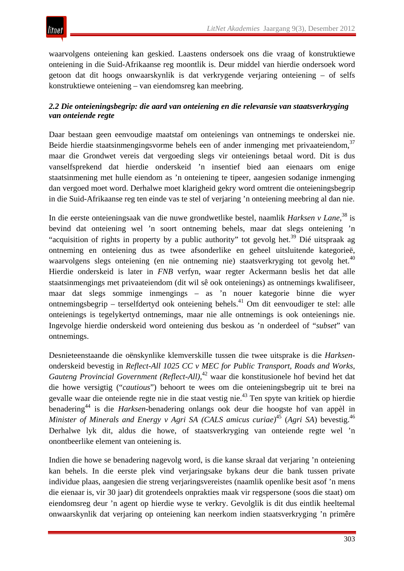

waarvolgens onteiening kan geskied. Laastens ondersoek ons die vraag of konstruktiewe onteiening in die Suid-Afrikaanse reg moontlik is. Deur middel van hierdie ondersoek word getoon dat dit hoogs onwaarskynlik is dat verkrygende verjaring onteiening – of selfs konstruktiewe onteiening – van eiendomsreg kan meebring.

#### *2.2 Die onteieningsbegrip: die aard van onteiening en die relevansie van staatsverkryging van onteiende regte*

Daar bestaan geen eenvoudige maatstaf om onteienings van ontnemings te onderskei nie. Beide hierdie staatsinmengingsvorme behels een of ander inmenging met privaateiendom,  $37$ maar die Grondwet vereis dat vergoeding slegs vir onteienings betaal word. Dit is dus vanselfsprekend dat hierdie onderskeid 'n insentief bied aan eienaars om enige staatsinmening met hulle eiendom as 'n onteiening te tipeer, aangesien sodanige inmenging dan vergoed moet word. Derhalwe moet klarigheid gekry word omtrent die onteieningsbegrip in die Suid-Afrikaanse reg ten einde vas te stel of verjaring 'n onteiening meebring al dan nie.

In die eerste onteieningsaak van die nuwe grondwetlike bestel, naamlik *Harksen v Lane*, <sup>38</sup> is bevind dat onteiening wel 'n soort ontneming behels, maar dat slegs onteiening 'n "acquisition of rights in property by a public authority" tot gevolg het.<sup>39</sup> Dié uitspraak ag ontneming en onteiening dus as twee afsonderlike en geheel uitsluitende kategorieë, waarvolgens slegs onteiening (en nie ontneming nie) staatsverkryging tot gevolg het.<sup>40</sup> Hierdie onderskeid is later in *FNB* verfyn, waar regter Ackermann beslis het dat alle staatsinmengings met privaateiendom (dit wil sê ook onteienings) as ontnemings kwalifiseer, maar dat slegs sommige inmengings – as 'n nouer kategorie binne die wyer ontnemingsbegrip – terselfdertyd ook onteiening behels.<sup>41</sup> Om dit eenvoudiger te stel: alle onteienings is tegelykertyd ontnemings, maar nie alle ontnemings is ook onteienings nie. Ingevolge hierdie onderskeid word onteiening dus beskou as 'n onderdeel of "*subset*" van ontnemings.

Desnieteenstaande die oënskynlike klemverskille tussen die twee uitsprake is die *Harksen*onderskeid bevestig in *Reflect-All 1025 CC v MEC for Public Transport, Roads and Works, Gauteng Provincial Government (Reflect-All)*, <sup>42</sup> waar die konstitusionele hof bevind het dat die howe versigtig ("*cautious*") behoort te wees om die onteieningsbegrip uit te brei na gevalle waar die onteiende regte nie in die staat vestig nie.43 Ten spyte van kritiek op hierdie benadering44 is die *Harksen*-benadering onlangs ook deur die hoogste hof van appèl in *Minister of Minerals and Energy v Agri SA (CALS amicus curiae)*<sup>45</sup> (*Agri SA*) bevestig.<sup>46</sup> Derhalwe lyk dit, aldus die howe, of staatsverkryging van onteiende regte wel 'n onontbeerlike element van onteiening is.

Indien die howe se benadering nagevolg word, is die kanse skraal dat verjaring 'n onteiening kan behels. In die eerste plek vind verjaringsake bykans deur die bank tussen private individue plaas, aangesien die streng verjaringsvereistes (naamlik openlike besit asof 'n mens die eienaar is, vir 30 jaar) dit grotendeels onprakties maak vir regspersone (soos die staat) om eiendomsreg deur 'n agent op hierdie wyse te verkry. Gevolglik is dit dus eintlik heeltemal onwaarskynlik dat verjaring op onteiening kan neerkom indien staatsverkryging 'n primêre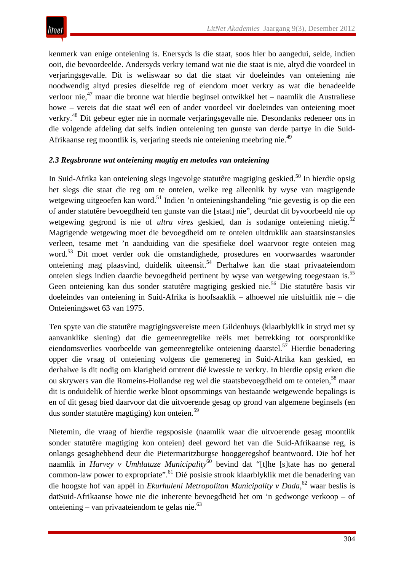

kenmerk van enige onteiening is. Enersyds is die staat, soos hier bo aangedui, selde, indien ooit, die bevoordeelde. Andersyds verkry iemand wat nie die staat is nie, altyd die voordeel in verjaringsgevalle. Dit is weliswaar so dat die staat vir doeleindes van onteiening nie noodwendig altyd presies dieselfde reg of eiendom moet verkry as wat die benadeelde verloor nie,<sup>47</sup> maar die bronne wat hierdie beginsel ontwikkel het – naamlik die Australiese howe – vereis dat die staat wél een of ander voordeel vir doeleindes van onteiening moet verkry.48 Dit gebeur egter nie in normale verjaringsgevalle nie. Desondanks redeneer ons in die volgende afdeling dat selfs indien onteiening ten gunste van derde partye in die Suid-Afrikaanse reg moontlik is, verjaring steeds nie onteiening meebring nie.49

#### *2.3 Regsbronne wat onteiening magtig en metodes van onteiening*

In Suid-Afrika kan onteiening slegs ingevolge statutêre magtiging geskied.<sup>50</sup> In hierdie opsig het slegs die staat die reg om te onteien, welke reg alleenlik by wyse van magtigende wetgewing uitgeoefen kan word.<sup>51</sup> Indien 'n onteieningshandeling "nie gevestig is op die een of ander statutêre bevoegdheid ten gunste van die [staat] nie", deurdat dit byvoorbeeld nie op wetgewing gegrond is nie of *ultra vires* geskied, dan is sodanige onteiening nietig.<sup>52</sup> Magtigende wetgewing moet die bevoegdheid om te onteien uitdruklik aan staatsinstansies verleen, tesame met 'n aanduiding van die spesifieke doel waarvoor regte onteien mag word.53 Dit moet verder ook die omstandighede, prosedures en voorwaardes waaronder onteiening mag plaasvind, duidelik uiteensit.<sup>54</sup> Derhalwe kan die staat privaateiendom onteien slegs indien daardie bevoegdheid pertinent by wyse van wetgewing toegestaan is.55 Geen onteiening kan dus sonder statutêre magtiging geskied nie.<sup>56</sup> Die statutêre basis vir doeleindes van onteiening in Suid-Afrika is hoofsaaklik – alhoewel nie uitsluitlik nie – die Onteieningswet 63 van 1975.

Ten spyte van die statutêre magtigingsvereiste meen Gildenhuys (klaarblyklik in stryd met sy aanvanklike siening) dat die gemeenregtelike reëls met betrekking tot oorspronklike eiendomsverlies voorbeelde van gemeenregtelike onteiening daarstel.<sup>57</sup> Hierdie benadering opper die vraag of onteiening volgens die gemenereg in Suid-Afrika kan geskied, en derhalwe is dit nodig om klarigheid omtrent dié kwessie te verkry. In hierdie opsig erken die ou skrywers van die Romeins-Hollandse reg wel die staatsbevoegdheid om te onteien,<sup>58</sup> maar dit is onduidelik of hierdie werke bloot opsommings van bestaande wetgewende bepalings is en of dit gesag bied daarvoor dat die uitvoerende gesag op grond van algemene beginsels (en dus sonder statutêre magtiging) kon onteien.59

Nietemin, die vraag of hierdie regsposisie (naamlik waar die uitvoerende gesag moontlik sonder statutêre magtiging kon onteien) deel geword het van die Suid-Afrikaanse reg, is onlangs gesaghebbend deur die Pietermaritzburgse hooggeregshof beantwoord. Die hof het naamlik in *Harvey v Umhlatuze Municipality*<sup>60</sup> bevind dat "[t]he [s]tate has no general common-law power to expropriate".61 Dié posisie strook klaarblyklik met die benadering van die hoogste hof van appèl in *Ekurhuleni Metropolitan Municipality v Dada*, <sup>62</sup> waar beslis is datSuid-Afrikaanse howe nie die inherente bevoegdheid het om 'n gedwonge verkoop – of onteiening – van privaateiendom te gelas nie. $^{63}$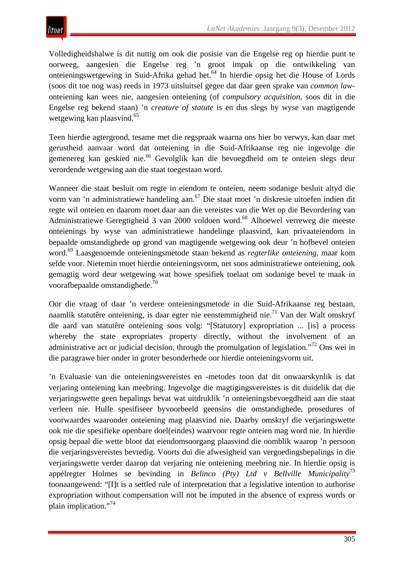

Volledigheidshalwe is dit nuttig om ook die posisie van die Engelse reg op hierdie punt te oorweeg, aangesien die Engelse reg 'n groot impak op die ontwikkeling van onteieningswetgewing in Suid-Afrika gehad het.64 In hierdie opsig het die House of Lords (soos dit toe nog was) reeds in 1973 uitsluitsel gegee dat daar geen sprake van *common law*onteiening kan wees nie, aangesien onteiening (of *compulsory acquisition*, soos dit in die Engelse reg bekend staan) 'n *creature of statute* is en dus slegs by wyse van magtigende wetgewing kan plaasvind.<sup>65</sup>

Teen hierdie agtergrond, tesame met die regspraak waarna ons hier bo verwys, kan daar met gerustheid aanvaar word dat onteiening in die Suid-Afrikaanse reg nie ingevolge die gemenereg kan geskied nie.<sup>66</sup> Gevolglik kan die bevoegdheid om te onteien slegs deur verordende wetgewing aan die staat toegestaan word.

Wanneer die staat besluit om regte in eiendom te onteien, neem sodanige besluit altyd die vorm van 'n administratiewe handeling aan.<sup>67</sup> Die staat moet 'n diskresie uitoefen indien dit regte wil onteien en daarom moet daar aan die vereistes van die Wet op die Bevordering van Administratiewe Geregtigheid 3 van 2000 voldoen word.<sup>68</sup> Alhoewel verreweg die meeste onteienings by wyse van administratiewe handelinge plaasvind, kan privaateiendom in bepaalde omstandighede op grond van magtigende wetgewing ook deur 'n hofbevel onteien word.69 Laasgenoemde onteieningsmetode staan bekend as *regterlike onteiening*, maar kom selde voor. Nietemin moet hierdie onteieningsvorm, net soos administratiewe onteiening, ook gemagtig word deur wetgewing wat howe spesifiek toelaat om sodanige bevel te maak in voorafbepaalde omstandighede.<sup>70</sup>

Oor die vraag of daar 'n verdere onteieningsmetode in die Suid-Afrikaanse reg bestaan, naamlik statutêre onteiening, is daar egter nie eenstemmigheid nie.<sup>71</sup> Van der Walt omskryf die aard van statutêre onteiening soos volg: "[Statutory] expropriation ... [is] a process whereby the state expropriates property directly, without the involvement of an administrative act or judicial decision, through the promulgation of legislation."<sup>72</sup> Ons wei in die paragrawe hier onder in groter besonderhede oor hierdie onteieningsvorm uit.

'n Evaluasie van die onteieningsvereistes en -metodes toon dat dit onwaarskynlik is dat verjaring onteiening kan meebring. Ingevolge die magtigingsvereistes is dit duidelik dat die verjaringswette geen bepalings bevat wat uitdruklik 'n onteieningsbevoegdheid aan die staat verleen nie. Hulle spesifiseer byvoorbeeld geensins die omstandighede, prosedures of voorwaardes waaronder onteiening mag plaasvind nie. Daarby omskryf die verjaringswette ook nie die spesifieke openbare doel(eindes) waarvoor regte onteien mag word nie. In hierdie opsig bepaal die wette bloot dat eiendomsoorgang plaasvind die oomblik waarop 'n persoon die verjaringsvereistes bevredig. Voorts dui die afwesigheid van vergoedingsbepalings in die verjaringswette verder daarop dat verjaring nie onteiening meebring nie. In hierdie opsig is appèlregter Holmes se bevinding in *Belinco (Pty) Ltd v Bellville Municipality*<sup>73</sup> toonaangewend: "[I]t is a settled rule of interpretation that a legislative intention to authorise expropriation without compensation will not be imputed in the absence of express words or plain implication."74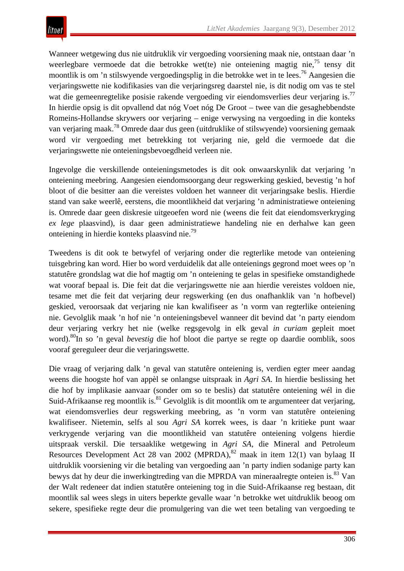Wanneer wetgewing dus nie uitdruklik vir vergoeding voorsiening maak nie, ontstaan daar 'n weerlegbare vermoede dat die betrokke wet(te) nie onteiening magtig nie,  $^{75}$  tensy dit moontlik is om 'n stilswyende vergoedingsplig in die betrokke wet in te lees.76 Aangesien die verjaringswette nie kodifikasies van die verjaringsreg daarstel nie, is dit nodig om vas te stel wat die gemeenregtelike posisie rakende vergoeding vir eiendomsverlies deur verjaring is.<sup>77</sup> In hierdie opsig is dit opvallend dat nóg Voet nóg De Groot – twee van die gesaghebbendste Romeins-Hollandse skrywers oor verjaring – enige verwysing na vergoeding in die konteks van verjaring maak.78 Omrede daar dus geen (uitdruklike of stilswyende) voorsiening gemaak word vir vergoeding met betrekking tot verjaring nie, geld die vermoede dat die verjaringswette nie onteieningsbevoegdheid verleen nie.

Ingevolge die verskillende onteieningsmetodes is dit ook onwaarskynlik dat verjaring 'n onteiening meebring. Aangesien eiendomsoorgang deur regswerking geskied, bevestig 'n hof bloot of die besitter aan die vereistes voldoen het wanneer dit verjaringsake beslis. Hierdie stand van sake weerlê, eerstens, die moontlikheid dat verjaring 'n administratiewe onteiening is. Omrede daar geen diskresie uitgeoefen word nie (weens die feit dat eiendomsverkryging *ex lege* plaasvind), is daar geen administratiewe handeling nie en derhalwe kan geen onteiening in hierdie konteks plaasvind nie.79

Tweedens is dit ook te betwyfel of verjaring onder die regterlike metode van onteiening tuisgebring kan word. Hier bo word verduidelik dat alle onteienings gegrond moet wees op 'n statutêre grondslag wat die hof magtig om 'n onteiening te gelas in spesifieke omstandighede wat vooraf bepaal is. Die feit dat die verjaringswette nie aan hierdie vereistes voldoen nie, tesame met die feit dat verjaring deur regswerking (en dus onafhanklik van 'n hofbevel) geskied, veroorsaak dat verjaring nie kan kwalifiseer as 'n vorm van regterlike onteiening nie. Gevolglik maak 'n hof nie 'n onteieningsbevel wanneer dit bevind dat 'n party eiendom deur verjaring verkry het nie (welke regsgevolg in elk geval *in curiam* gepleit moet word).80In so 'n geval *bevestig* die hof bloot die partye se regte op daardie oomblik, soos vooraf gereguleer deur die verjaringswette.

Die vraag of verjaring dalk 'n geval van statutêre onteiening is, verdien egter meer aandag weens die hoogste hof van appèl se onlangse uitspraak in *Agri SA*. In hierdie beslissing het die hof by implikasie aanvaar (sonder om so te beslis) dat statutêre onteiening wél in die Suid-Afrikaanse reg moontlik is.<sup>81</sup> Gevolglik is dit moontlik om te argumenteer dat verjaring, wat eiendomsverlies deur regswerking meebring, as 'n vorm van statutêre onteiening kwalifiseer. Nietemin, selfs al sou *Agri SA* korrek wees, is daar 'n kritieke punt waar verkrygende verjaring van die moontlikheid van statutêre onteiening volgens hierdie uitspraak verskil. Die tersaaklike wetgewing in *Agri SA*, die Mineral and Petroleum Resources Development Act 28 van 2002 (MPRDA),  $82$  maak in item 12(1) van bylaag II uitdruklik voorsiening vir die betaling van vergoeding aan 'n party indien sodanige party kan bewys dat hy deur die inwerkingtreding van die MPRDA van mineraalregte onteien is.<sup>83</sup> Van der Walt redeneer dat indien statutêre onteiening tog in die Suid-Afrikaanse reg bestaan, dit moontlik sal wees slegs in uiters beperkte gevalle waar 'n betrokke wet uitdruklik beoog om sekere, spesifieke regte deur die promulgering van die wet teen betaling van vergoeding te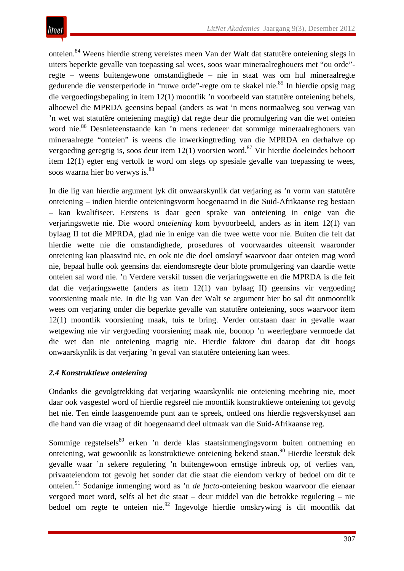onteien.84 Weens hierdie streng vereistes meen Van der Walt dat statutêre onteiening slegs in uiters beperkte gevalle van toepassing sal wees, soos waar mineraalreghouers met "ou orde" regte – weens buitengewone omstandighede – nie in staat was om hul mineraalregte gedurende die vensterperiode in "nuwe orde"-regte om te skakel nie.<sup>85</sup> In hierdie opsig mag die vergoedingsbepaling in item 12(1) moontlik 'n voorbeeld van statutêre onteiening behels, alhoewel die MPRDA geensins bepaal (anders as wat 'n mens normaalweg sou verwag van 'n wet wat statutêre onteiening magtig) dat regte deur die promulgering van die wet onteien word nie.<sup>86</sup> Desnieteenstaande kan 'n mens redeneer dat sommige mineraalreghouers van mineraalregte "onteien" is weens die inwerkingtreding van die MPRDA en derhalwe op vergoeding geregtig is, soos deur item  $12(1)$  voorsien word.<sup>87</sup> Vir hierdie doeleindes behoort item 12(1) egter eng vertolk te word om slegs op spesiale gevalle van toepassing te wees, soos waarna hier bo verwys is.<sup>88</sup>

In die lig van hierdie argument lyk dit onwaarskynlik dat verjaring as 'n vorm van statutêre onteiening – indien hierdie onteieningsvorm hoegenaamd in die Suid-Afrikaanse reg bestaan – kan kwalifiseer. Eerstens is daar geen sprake van onteiening in enige van die verjaringswette nie. Die woord *onteiening* kom byvoorbeeld, anders as in item 12(1) van bylaag II tot die MPRDA, glad nie in enige van die twee wette voor nie. Buiten die feit dat hierdie wette nie die omstandighede, prosedures of voorwaardes uiteensit waaronder onteiening kan plaasvind nie, en ook nie die doel omskryf waarvoor daar onteien mag word nie, bepaal hulle ook geensins dat eiendomsregte deur blote promulgering van daardie wette onteien sal word nie. 'n Verdere verskil tussen die verjaringswette en die MPRDA is die feit dat die verjaringswette (anders as item 12(1) van bylaag II) geensins vir vergoeding voorsiening maak nie. In die lig van Van der Walt se argument hier bo sal dit onmoontlik wees om verjaring onder die beperkte gevalle van statutêre onteiening, soos waarvoor item 12(1) moontlik voorsiening maak, tuis te bring. Verder ontstaan daar in gevalle waar wetgewing nie vir vergoeding voorsiening maak nie, boonop 'n weerlegbare vermoede dat die wet dan nie onteiening magtig nie. Hierdie faktore dui daarop dat dit hoogs onwaarskynlik is dat verjaring 'n geval van statutêre onteiening kan wees.

# *2.4 Konstruktiewe onteiening*

Ondanks die gevolgtrekking dat verjaring waarskynlik nie onteiening meebring nie, moet daar ook vasgestel word of hierdie regsreël nie moontlik konstruktiewe onteiening tot gevolg het nie. Ten einde laasgenoemde punt aan te spreek, ontleed ons hierdie regsverskynsel aan die hand van die vraag of dit hoegenaamd deel uitmaak van die Suid-Afrikaanse reg.

Sommige regstelsels<sup>89</sup> erken 'n derde klas staatsinmengingsvorm buiten ontneming en onteiening, wat gewoonlik as konstruktiewe onteiening bekend staan.90 Hierdie leerstuk dek gevalle waar 'n sekere regulering 'n buitengewoon ernstige inbreuk op, of verlies van, privaateiendom tot gevolg het sonder dat die staat die eiendom verkry of bedoel om dit te onteien.91 Sodanige inmenging word as 'n *de facto*-onteiening beskou waarvoor die eienaar vergoed moet word, selfs al het die staat – deur middel van die betrokke regulering – nie bedoel om regte te onteien nie.<sup>92</sup> Ingevolge hierdie omskrywing is dit moontlik dat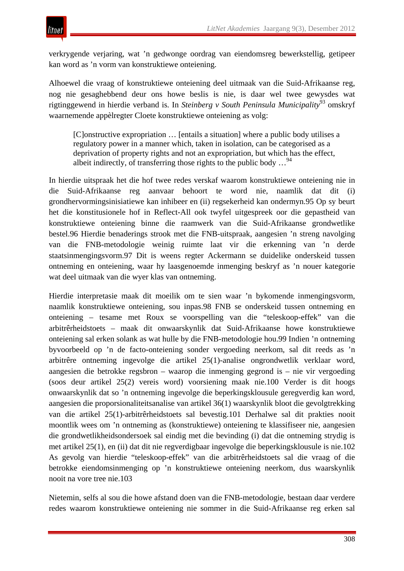verkrygende verjaring, wat 'n gedwonge oordrag van eiendomsreg bewerkstellig, getipeer kan word as 'n vorm van konstruktiewe onteiening.

Alhoewel die vraag of konstruktiewe onteiening deel uitmaak van die Suid-Afrikaanse reg, nog nie gesaghebbend deur ons howe beslis is nie, is daar wel twee gewysdes wat rigtinggewend in hierdie verband is. In *Steinberg v South Peninsula Municipality*<sup>93</sup> omskryf waarnemende appèlregter Cloete konstruktiewe onteiening as volg:

[C]onstructive expropriation … [entails a situation] where a public body utilises a regulatory power in a manner which, taken in isolation, can be categorised as a deprivation of property rights and not an expropriation, but which has the effect, albeit indirectly, of transferring those rights to the public body  $\ldots$ <sup>94</sup>

In hierdie uitspraak het die hof twee redes verskaf waarom konstruktiewe onteiening nie in die Suid-Afrikaanse reg aanvaar behoort te word nie, naamlik dat dit (i) grondhervormingsinisiatiewe kan inhibeer en (ii) regsekerheid kan ondermyn.95 Op sy beurt het die konstitusionele hof in Reflect-All ook twyfel uitgespreek oor die gepastheid van konstruktiewe onteiening binne die raamwerk van die Suid-Afrikaanse grondwetlike bestel.96 Hierdie benaderings strook met die FNB-uitspraak, aangesien 'n streng navolging van die FNB-metodologie weinig ruimte laat vir die erkenning van 'n derde staatsinmengingsvorm.97 Dit is weens regter Ackermann se duidelike onderskeid tussen ontneming en onteiening, waar hy laasgenoemde inmenging beskryf as 'n nouer kategorie wat deel uitmaak van die wyer klas van ontneming.

Hierdie interpretasie maak dit moeilik om te sien waar 'n bykomende inmengingsvorm, naamlik konstruktiewe onteiening, sou inpas.98 FNB se onderskeid tussen ontneming en onteiening – tesame met Roux se voorspelling van die "teleskoop-effek" van die arbitrêrheidstoets – maak dit onwaarskynlik dat Suid-Afrikaanse howe konstruktiewe onteiening sal erken solank as wat hulle by die FNB-metodologie hou.99 Indien 'n ontneming byvoorbeeld op 'n de facto-onteiening sonder vergoeding neerkom, sal dit reeds as 'n arbitrêre ontneming ingevolge die artikel 25(1)-analise ongrondwetlik verklaar word, aangesien die betrokke regsbron – waarop die inmenging gegrond is – nie vir vergoeding (soos deur artikel 25(2) vereis word) voorsiening maak nie.100 Verder is dit hoogs onwaarskynlik dat so 'n ontneming ingevolge die beperkingsklousule geregverdig kan word, aangesien die proporsionaliteitsanalise van artikel 36(1) waarskynlik bloot die gevolgtrekking van die artikel 25(1)-arbitrêrheidstoets sal bevestig.101 Derhalwe sal dit prakties nooit moontlik wees om 'n ontneming as (konstruktiewe) onteiening te klassifiseer nie, aangesien die grondwetlikheidsondersoek sal eindig met die bevinding (i) dat die ontneming strydig is met artikel 25(1), en (ii) dat dit nie regverdigbaar ingevolge die beperkingsklousule is nie.102 As gevolg van hierdie "teleskoop-effek" van die arbitrêrheidstoets sal die vraag of die betrokke eiendomsinmenging op 'n konstruktiewe onteiening neerkom, dus waarskynlik nooit na vore tree nie.103

Nietemin, selfs al sou die howe afstand doen van die FNB-metodologie, bestaan daar verdere redes waarom konstruktiewe onteiening nie sommer in die Suid-Afrikaanse reg erken sal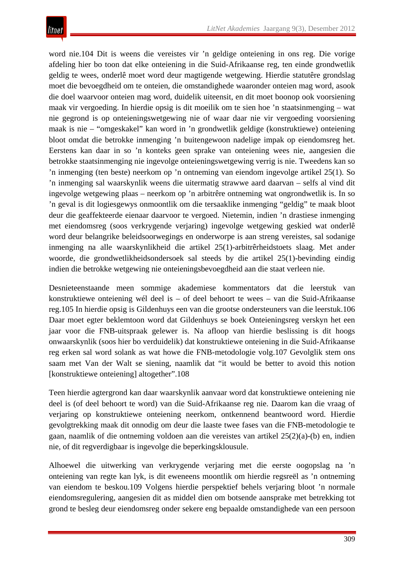word nie.104 Dit is weens die vereistes vir 'n geldige onteiening in ons reg. Die vorige afdeling hier bo toon dat elke onteiening in die Suid-Afrikaanse reg, ten einde grondwetlik geldig te wees, onderlê moet word deur magtigende wetgewing. Hierdie statutêre grondslag moet die bevoegdheid om te onteien, die omstandighede waaronder onteien mag word, asook die doel waarvoor onteien mag word, duidelik uiteensit, en dit moet boonop ook voorsiening maak vir vergoeding. In hierdie opsig is dit moeilik om te sien hoe 'n staatsinmenging – wat nie gegrond is op onteieningswetgewing nie of waar daar nie vir vergoeding voorsiening maak is nie – "omgeskakel" kan word in 'n grondwetlik geldige (konstruktiewe) onteiening bloot omdat die betrokke inmenging 'n buitengewoon nadelige impak op eiendomsreg het. Eerstens kan daar in so 'n konteks geen sprake van onteiening wees nie, aangesien die betrokke staatsinmenging nie ingevolge onteieningswetgewing verrig is nie. Tweedens kan so 'n inmenging (ten beste) neerkom op 'n ontneming van eiendom ingevolge artikel 25(1). So 'n inmenging sal waarskynlik weens die uitermatig strawwe aard daarvan – selfs al vind dit ingevolge wetgewing plaas – neerkom op 'n arbitrêre ontneming wat ongrondwetlik is. In so 'n geval is dit logiesgewys onmoontlik om die tersaaklike inmenging "geldig" te maak bloot deur die geaffekteerde eienaar daarvoor te vergoed. Nietemin, indien 'n drastiese inmenging met eiendomsreg (soos verkrygende verjaring) ingevolge wetgewing geskied wat onderlê word deur belangrike beleidsoorwegings en onderworpe is aan streng vereistes, sal sodanige inmenging na alle waarskynlikheid die artikel 25(1)-arbitrêrheidstoets slaag. Met ander woorde, die grondwetlikheidsondersoek sal steeds by die artikel 25(1)-bevinding eindig indien die betrokke wetgewing nie onteieningsbevoegdheid aan die staat verleen nie.

Desnieteenstaande meen sommige akademiese kommentators dat die leerstuk van konstruktiewe onteiening wél deel is – of deel behoort te wees – van die Suid-Afrikaanse reg.105 In hierdie opsig is Gildenhuys een van die grootse ondersteuners van die leerstuk.106 Daar moet egter beklemtoon word dat Gildenhuys se boek Onteieningsreg verskyn het een jaar voor die FNB-uitspraak gelewer is. Na afloop van hierdie beslissing is dit hoogs onwaarskynlik (soos hier bo verduidelik) dat konstruktiewe onteiening in die Suid-Afrikaanse reg erken sal word solank as wat howe die FNB-metodologie volg.107 Gevolglik stem ons saam met Van der Walt se siening, naamlik dat "it would be better to avoid this notion [konstruktiewe onteiening] altogether".108

Teen hierdie agtergrond kan daar waarskynlik aanvaar word dat konstruktiewe onteiening nie deel is (of deel behoort te word) van die Suid-Afrikaanse reg nie. Daarom kan die vraag of verjaring op konstruktiewe onteiening neerkom, ontkennend beantwoord word. Hierdie gevolgtrekking maak dit onnodig om deur die laaste twee fases van die FNB-metodologie te gaan, naamlik of die ontneming voldoen aan die vereistes van artikel 25(2)(a)-(b) en, indien nie, of dit regverdigbaar is ingevolge die beperkingsklousule.

Alhoewel die uitwerking van verkrygende verjaring met die eerste oogopslag na 'n onteiening van regte kan lyk, is dit eweneens moontlik om hierdie regsreël as 'n ontneming van eiendom te beskou.109 Volgens hierdie perspektief behels verjaring bloot 'n normale eiendomsregulering, aangesien dit as middel dien om botsende aansprake met betrekking tot grond te besleg deur eiendomsreg onder sekere eng bepaalde omstandighede van een persoon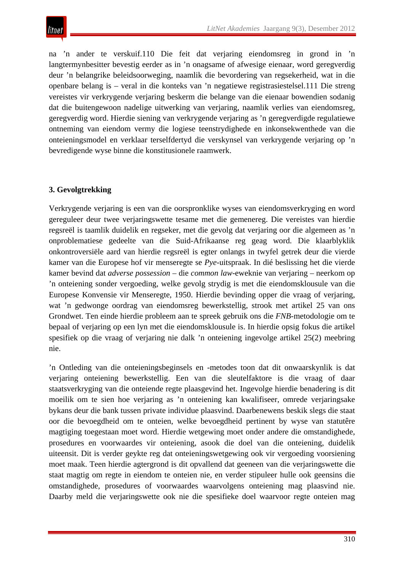na 'n ander te verskuif.110 Die feit dat verjaring eiendomsreg in grond in 'n langtermynbesitter bevestig eerder as in 'n onagsame of afwesige eienaar, word geregverdig deur 'n belangrike beleidsoorweging, naamlik die bevordering van regsekerheid, wat in die openbare belang is – veral in die konteks van 'n negatiewe registrasiestelsel.111 Die streng vereistes vir verkrygende verjaring beskerm die belange van die eienaar bowendien sodanig dat die buitengewoon nadelige uitwerking van verjaring, naamlik verlies van eiendomsreg, geregverdig word. Hierdie siening van verkrygende verjaring as 'n geregverdigde regulatiewe ontneming van eiendom vermy die logiese teenstrydighede en inkonsekwenthede van die onteieningsmodel en verklaar terselfdertyd die verskynsel van verkrygende verjaring op 'n bevredigende wyse binne die konstitusionele raamwerk.

# **3. Gevolgtrekking**

Verkrygende verjaring is een van die oorspronklike wyses van eiendomsverkryging en word gereguleer deur twee verjaringswette tesame met die gemenereg. Die vereistes van hierdie regsreël is taamlik duidelik en regseker, met die gevolg dat verjaring oor die algemeen as 'n onproblematiese gedeelte van die Suid-Afrikaanse reg geag word. Die klaarblyklik onkontroversiële aard van hierdie regsreël is egter onlangs in twyfel getrek deur die vierde kamer van die Europese hof vir menseregte se *Pye*-uitspraak. In dié beslissing het die vierde kamer bevind dat *adverse possession –* die *common law*-eweknie van verjaring – neerkom op 'n onteiening sonder vergoeding, welke gevolg strydig is met die eiendomsklousule van die Europese Konvensie vir Menseregte, 1950. Hierdie bevinding opper die vraag of verjaring, wat 'n gedwonge oordrag van eiendomsreg bewerkstellig, strook met artikel 25 van ons Grondwet. Ten einde hierdie probleem aan te spreek gebruik ons die *FNB*-metodologie om te bepaal of verjaring op een lyn met die eiendomsklousule is. In hierdie opsig fokus die artikel spesifiek op die vraag of verjaring nie dalk 'n onteiening ingevolge artikel 25(2) meebring nie.

'n Ontleding van die onteieningsbeginsels en -metodes toon dat dit onwaarskynlik is dat verjaring onteiening bewerkstellig. Een van die sleutelfaktore is die vraag of daar staatsverkryging van die onteiende regte plaasgevind het. Ingevolge hierdie benadering is dit moeilik om te sien hoe verjaring as 'n onteiening kan kwalifiseer, omrede verjaringsake bykans deur die bank tussen private individue plaasvind. Daarbenewens beskik slegs die staat oor die bevoegdheid om te onteien, welke bevoegdheid pertinent by wyse van statutêre magtiging toegestaan moet word. Hierdie wetgewing moet onder andere die omstandighede, prosedures en voorwaardes vir onteiening, asook die doel van die onteiening, duidelik uiteensit. Dit is verder geykte reg dat onteieningswetgewing ook vir vergoeding voorsiening moet maak. Teen hierdie agtergrond is dit opvallend dat geeneen van die verjaringswette die staat magtig om regte in eiendom te onteien nie, en verder stipuleer hulle ook geensins die omstandighede, prosedures of voorwaardes waarvolgens onteiening mag plaasvind nie. Daarby meld die verjaringswette ook nie die spesifieke doel waarvoor regte onteien mag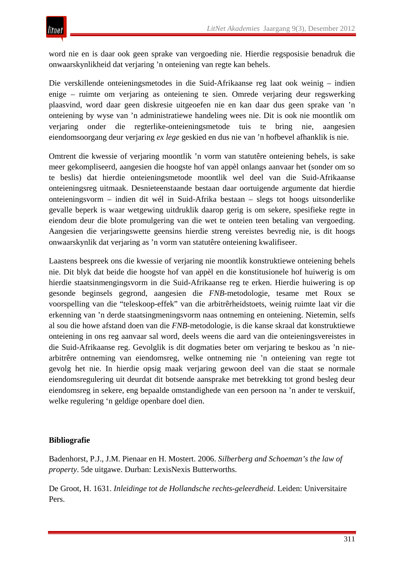word nie en is daar ook geen sprake van vergoeding nie. Hierdie regsposisie benadruk die onwaarskynlikheid dat verjaring 'n onteiening van regte kan behels.

Die verskillende onteieningsmetodes in die Suid-Afrikaanse reg laat ook weinig – indien enige – ruimte om verjaring as onteiening te sien. Omrede verjaring deur regswerking plaasvind, word daar geen diskresie uitgeoefen nie en kan daar dus geen sprake van 'n onteiening by wyse van 'n administratiewe handeling wees nie. Dit is ook nie moontlik om verjaring onder die regterlike-onteieningsmetode tuis te bring nie, aangesien eiendomsoorgang deur verjaring *ex lege* geskied en dus nie van 'n hofbevel afhanklik is nie.

Omtrent die kwessie of verjaring moontlik 'n vorm van statutêre onteiening behels, is sake meer gekompliseerd, aangesien die hoogste hof van appèl onlangs aanvaar het (sonder om so te beslis) dat hierdie onteieningsmetode moontlik wel deel van die Suid-Afrikaanse onteieningsreg uitmaak. Desnieteenstaande bestaan daar oortuigende argumente dat hierdie onteieningsvorm – indien dit wél in Suid-Afrika bestaan – slegs tot hoogs uitsonderlike gevalle beperk is waar wetgewing uitdruklik daarop gerig is om sekere, spesifieke regte in eiendom deur die blote promulgering van die wet te onteien teen betaling van vergoeding. Aangesien die verjaringswette geensins hierdie streng vereistes bevredig nie, is dit hoogs onwaarskynlik dat verjaring as 'n vorm van statutêre onteiening kwalifiseer.

Laastens bespreek ons die kwessie of verjaring nie moontlik konstruktiewe onteiening behels nie. Dit blyk dat beide die hoogste hof van appèl en die konstitusionele hof huiwerig is om hierdie staatsinmengingsvorm in die Suid-Afrikaanse reg te erken. Hierdie huiwering is op gesonde beginsels gegrond, aangesien die *FNB*-metodologie, tesame met Roux se voorspelling van die "teleskoop-effek" van die arbitrêrheidstoets, weinig ruimte laat vir die erkenning van 'n derde staatsingmeningsvorm naas ontneming en onteiening. Nietemin, selfs al sou die howe afstand doen van die *FNB*-metodologie, is die kanse skraal dat konstruktiewe onteiening in ons reg aanvaar sal word, deels weens die aard van die onteieningsvereistes in die Suid-Afrikaanse reg. Gevolglik is dit dogmaties beter om verjaring te beskou as 'n niearbitrêre ontneming van eiendomsreg, welke ontneming nie 'n onteiening van regte tot gevolg het nie. In hierdie opsig maak verjaring gewoon deel van die staat se normale eiendomsregulering uit deurdat dit botsende aansprake met betrekking tot grond besleg deur eiendomsreg in sekere, eng bepaalde omstandighede van een persoon na 'n ander te verskuif, welke regulering 'n geldige openbare doel dien.

#### **Bibliografie**

Badenhorst, P.J., J.M. Pienaar en H. Mostert. 2006. *Silberberg and Schoeman's the law of property*. 5de uitgawe. Durban: LexisNexis Butterworths.

De Groot, H. 1631. *Inleidinge tot de Hollandsche rechts-geleerdheid*. Leiden: Universitaire Pers.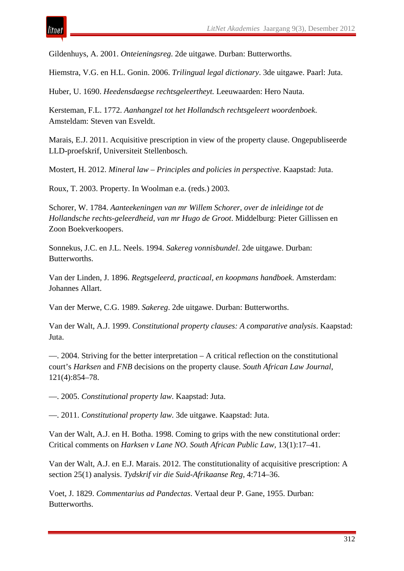Gildenhuys, A. 2001. *Onteieningsreg*. 2de uitgawe. Durban: Butterworths.

Hiemstra, V.G. en H.L. Gonin. 2006. *Trilingual legal dictionary*. 3de uitgawe. Paarl: Juta.

Huber, U. 1690. *Heedensdaegse rechtsgeleertheyt.* Leeuwaarden: Hero Nauta.

Kersteman, F.L. 1772. *Aanhangzel tot het Hollandsch rechtsgeleert woordenboek*. Amsteldam: Steven van Esveldt.

Marais, E.J. 2011. Acquisitive prescription in view of the property clause. Ongepubliseerde LLD-proefskrif, Universiteit Stellenbosch.

Mostert, H. 2012. *Mineral law – Principles and policies in perspective*. Kaapstad: Juta.

Roux, T. 2003. Property. In Woolman e.a. (reds.) 2003.

Schorer, W. 1784. *Aanteekeningen van mr Willem Schorer, over de inleidinge tot de Hollandsche rechts-geleerdheid, van mr Hugo de Groot*. Middelburg: Pieter Gillissen en Zoon Boekverkoopers.

Sonnekus, J.C. en J.L. Neels. 1994. *Sakereg vonnisbundel*. 2de uitgawe. Durban: Butterworths.

Van der Linden, J. 1896. *Regtsgeleerd, practicaal, en koopmans handboek*. Amsterdam: Johannes Allart.

Van der Merwe, C.G. 1989. *Sakereg*. 2de uitgawe. Durban: Butterworths.

Van der Walt, A.J. 1999. *Constitutional property clauses: A comparative analysis*. Kaapstad: Juta.

—. 2004. Striving for the better interpretation – A critical reflection on the constitutional court's *Harksen* and *FNB* decisions on the property clause. *South African Law Journal*, 121(4):854–78.

—. 2005. *Constitutional property law*. Kaapstad: Juta.

—. 2011. *Constitutional property law*. 3de uitgawe. Kaapstad: Juta.

Van der Walt, A.J. en H. Botha. 1998. Coming to grips with the new constitutional order: Critical comments on *Harksen v Lane NO*. *South African Public Law,* 13(1):17–41.

Van der Walt, A.J. en E.J. Marais. 2012. The constitutionality of acquisitive prescription: A section 25(1) analysis. *Tydskrif vir die Suid-Afrikaanse Reg,* 4:714–36.

Voet, J. 1829. *Commentarius ad Pandectas*. Vertaal deur P. Gane, 1955. Durban: Butterworths.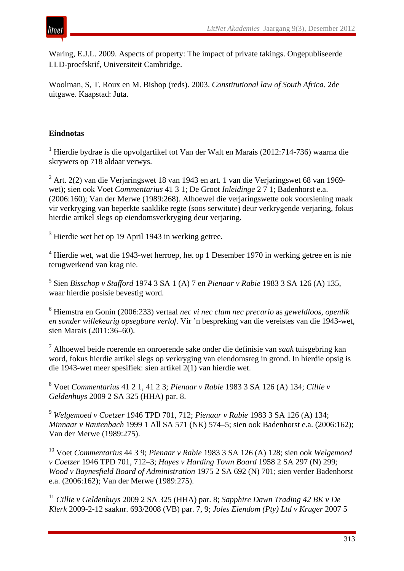

Waring, E.J.L. 2009. Aspects of property: The impact of private takings. Ongepubliseerde LLD-proefskrif, Universiteit Cambridge.

Woolman, S, T. Roux en M. Bishop (reds). 2003. *Constitutional law of South Africa*. 2de uitgawe. Kaapstad: Juta.

## **Eindnotas**

<sup>1</sup> Hierdie bydrae is die opvolgartikel tot Van der Walt en Marais (2012:714-736) waarna die skrywers op 718 aldaar verwys.

<sup>2</sup> Art. 2(2) van die Verjaringswet 18 van 1943 en art. 1 van die Verjaringswet 68 van 1969 wet); sien ook Voet *Commentarius* 41 3 1; De Groot *Inleidinge* 2 7 1; Badenhorst e.a. (2006:160); Van der Merwe (1989:268). Alhoewel die verjaringswette ook voorsiening maak vir verkryging van beperkte saaklike regte (soos serwitute) deur verkrygende verjaring, fokus hierdie artikel slegs op eiendomsverkryging deur verjaring.

<sup>3</sup> Hierdie wet het op 19 April 1943 in werking getree.

<sup>4</sup> Hierdie wet, wat die 1943-wet herroep, het op 1 Desember 1970 in werking getree en is nie terugwerkend van krag nie.

<sup>5</sup> Sien *Bisschop v Stafford* 1974 3 SA 1 (A) 7 en *Pienaar v Rabie* 1983 3 SA 126 (A) 135, waar hierdie posisie bevestig word.

<sup>6</sup> Hiemstra en Gonin (2006:233) vertaal *nec vi nec clam nec precario* as *geweldloos, openlik en sonder willekeurig opsegbare verlof*. Vir 'n bespreking van die vereistes van die 1943-wet, sien Marais (2011:36–60).

<sup>7</sup> Alhoewel beide roerende en onroerende sake onder die definisie van *saak* tuisgebring kan word, fokus hierdie artikel slegs op verkryging van eiendomsreg in grond. In hierdie opsig is die 1943-wet meer spesifiek: sien artikel 2(1) van hierdie wet.

<sup>8</sup> Voet *Commentarius* 41 2 1, 41 2 3; *Pienaar v Rabie* 1983 3 SA 126 (A) 134; *Cillie v Geldenhuys* 2009 2 SA 325 (HHA) par. 8.

<sup>9</sup> *Welgemoed v Coetzer* 1946 TPD 701, 712; *Pienaar v Rabie* 1983 3 SA 126 (A) 134; *Minnaar v Rautenbach* 1999 1 All SA 571 (NK) 574–5; sien ook Badenhorst e.a. (2006:162); Van der Merwe (1989:275).

<sup>10</sup> Voet *Commentarius* 44 3 9; *Pienaar v Rabie* 1983 3 SA 126 (A) 128; sien ook *Welgemoed v Coetzer* 1946 TPD 701, 712–3; *Hayes v Harding Town Board* 1958 2 SA 297 (N) 299; *Wood v Baynesfield Board of Administration* 1975 2 SA 692 (N) 701; sien verder Badenhorst e.a. (2006:162); Van der Merwe (1989:275).

<sup>11</sup> *Cillie v Geldenhuys* 2009 2 SA 325 (HHA) par. 8; *Sapphire Dawn Trading 42 BK v De Klerk* 2009-2-12 saaknr. 693/2008 (VB) par. 7, 9; *Joles Eiendom (Pty) Ltd v Kruger* 2007 5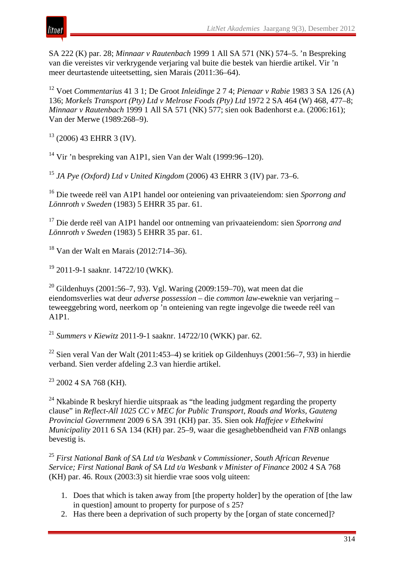

SA 222 (K) par. 28; *Minnaar v Rautenbach* 1999 1 All SA 571 (NK) 574–5. 'n Bespreking van die vereistes vir verkrygende verjaring val buite die bestek van hierdie artikel. Vir 'n meer deurtastende uiteetsetting, sien Marais (2011:36–64).

<sup>12</sup> Voet *Commentarius* 41 3 1; De Groot *Inleidinge* 2 7 4; *Pienaar v Rabie* 1983 3 SA 126 (A) 136; *Morkels Transport (Pty) Ltd v Melrose Foods (Pty) Ltd* 1972 2 SA 464 (W) 468, 477–8; *Minnaar v Rautenbach* 1999 1 All SA 571 (NK) 577; sien ook Badenhorst e.a. (2006:161); Van der Merwe (1989:268–9).

 $13$  (2006) 43 EHRR 3 (IV).

<sup>14</sup> Vir 'n bespreking van A1P1, sien Van der Walt (1999:96–120).

<sup>15</sup> *JA Pye (Oxford) Ltd v United Kingdom* (2006) 43 EHRR 3 (IV) par. 73–6.

<sup>16</sup> Die tweede reël van A1P1 handel oor onteiening van privaateiendom: sien *Sporrong and Lönnroth v Sweden* (1983) 5 EHRR 35 par. 61.

<sup>17</sup> Die derde reël van A1P1 handel oor ontneming van privaateiendom: sien *Sporrong and Lönnroth v Sweden* (1983) 5 EHRR 35 par. 61.

<sup>18</sup> Van der Walt en Marais (2012:714–36).

 $19$  2011-9-1 saaknr. 14722/10 (WKK).

<sup>20</sup> Gildenhuys (2001:56–7, 93). Vgl. Waring (2009:159–70), wat meen dat die eiendomsverlies wat deur *adverse possession* – die *common law*-eweknie van verjaring – teweeggebring word, neerkom op 'n onteiening van regte ingevolge die tweede reël van A1P1.

<sup>21</sup> *Summers v Kiewitz* 2011-9-1 saaknr. 14722/10 (WKK) par. 62.

<sup>22</sup> Sien veral Van der Walt (2011:453–4) se kritiek op Gildenhuys (2001:56–7, 93) in hierdie verband. Sien verder afdeling 2.3 van hierdie artikel.

 $23$  2002 4 SA 768 (KH).

 $24$  Nkabinde R beskryf hierdie uitspraak as "the leading judgment regarding the property clause" in *Reflect-All 1025 CC v MEC for Public Transport, Roads and Works, Gauteng Provincial Government* 2009 6 SA 391 (KH) par. 35. Sien ook *Haffejee v Ethekwini Municipality* 2011 6 SA 134 (KH) par. 25–9, waar die gesaghebbendheid van *FNB* onlangs bevestig is.

<sup>25</sup> *First National Bank of SA Ltd t/a Wesbank v Commissioner, South African Revenue Service; First National Bank of SA Ltd t/a Wesbank v Minister of Finance* 2002 4 SA 768 (KH) par. 46. Roux (2003:3) sit hierdie vrae soos volg uiteen:

- 1. Does that which is taken away from [the property holder] by the operation of [the law in question] amount to property for purpose of s 25?
- 2. Has there been a deprivation of such property by the [organ of state concerned]?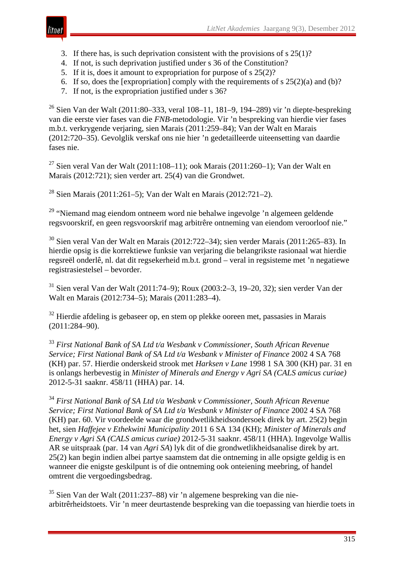

- 3. If there has, is such deprivation consistent with the provisions of s 25(1)?
- 4. If not, is such deprivation justified under s 36 of the Constitution?
- 5. If it is, does it amount to expropriation for purpose of s 25(2)?
- 6. If so, does the [expropriation] comply with the requirements of s  $25(2)(a)$  and (b)?
- 7. If not, is the expropriation justified under s 36?

<sup>26</sup> Sien Van der Walt (2011:80–333, veral 108–11, 181–9, 194–289) vir 'n diepte-bespreking van die eerste vier fases van die *FNB*-metodologie. Vir 'n bespreking van hierdie vier fases m.b.t. verkrygende verjaring, sien Marais (2011:259–84); Van der Walt en Marais (2012:720–35). Gevolglik verskaf ons nie hier 'n gedetailleerde uiteensetting van daardie fases nie.

<sup>27</sup> Sien veral Van der Walt (2011:108–11); ook Marais (2011:260–1); Van der Walt en Marais (2012:721); sien verder art. 25(4) van die Grondwet.

<sup>28</sup> Sien Marais (2011:261–5); Van der Walt en Marais (2012:721–2).

<sup>29</sup> "Niemand mag eiendom ontneem word nie behalwe ingevolge 'n algemeen geldende regsvoorskrif, en geen regsvoorskrif mag arbitrêre ontneming van eiendom veroorloof nie."

<sup>30</sup> Sien veral Van der Walt en Marais (2012:722–34); sien verder Marais (2011:265–83). In hierdie opsig is die korrektiewe funksie van verjaring die belangrikste rasionaal wat hierdie regsreël onderlê, nl. dat dit regsekerheid m.b.t. grond – veral in regsisteme met 'n negatiewe registrasiestelsel – bevorder.

<sup>31</sup> Sien veral Van der Walt (2011:74–9); Roux (2003:2–3, 19–20, 32); sien verder Van der Walt en Marais (2012:734–5); Marais (2011:283–4).

 $32$  Hierdie afdeling is gebaseer op, en stem op plekke ooreen met, passasies in Marais (2011:284–90).

<sup>33</sup> *First National Bank of SA Ltd t/a Wesbank v Commissioner, South African Revenue Service; First National Bank of SA Ltd t/a Wesbank v Minister of Finance* 2002 4 SA 768 (KH) par. 57. Hierdie onderskeid strook met *Harksen v Lane* 1998 1 SA 300 (KH) par. 31 en is onlangs herbevestig in *Minister of Minerals and Energy v Agri SA (CALS amicus curiae)*  2012-5-31 saaknr. 458/11 (HHA) par. 14.

<sup>34</sup> *First National Bank of SA Ltd t/a Wesbank v Commissioner, South African Revenue Service; First National Bank of SA Ltd t/a Wesbank v Minister of Finance* 2002 4 SA 768 (KH) par. 60. Vir voordeelde waar die grondwetlikheidsondersoek direk by art. 25(2) begin het, sien *Haffejee v Ethekwini Municipality* 2011 6 SA 134 (KH); *Minister of Minerals and Energy v Agri SA (CALS amicus curiae)* 2012-5-31 saaknr. 458/11 (HHA). Ingevolge Wallis AR se uitspraak (par. 14 van *Agri SA*) lyk dit of die grondwetlikheidsanalise direk by art. 25(2) kan begin indien albei partye saamstem dat die ontneming in alle opsigte geldig is en wanneer die enigste geskilpunt is of die ontneming ook onteiening meebring, of handel omtrent die vergoedingsbedrag.

<sup>35</sup> Sien Van der Walt (2011:237–88) vir 'n algemene bespreking van die niearbitrêrheidstoets. Vir 'n meer deurtastende bespreking van die toepassing van hierdie toets in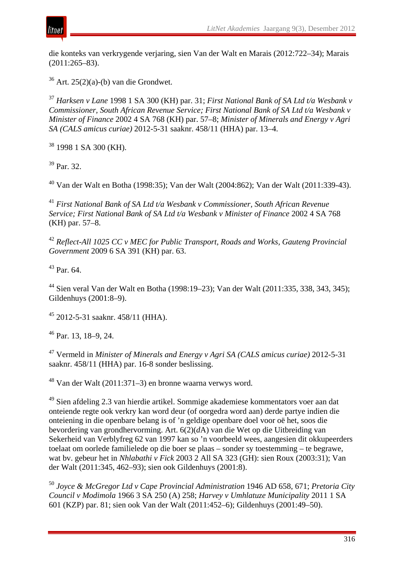

die konteks van verkrygende verjaring, sien Van der Walt en Marais (2012:722–34); Marais (2011:265–83).

 $36$  Art. 25(2)(a)-(b) van die Grondwet.

<sup>37</sup> *Harksen v Lane* 1998 1 SA 300 (KH) par. 31; *First National Bank of SA Ltd t/a Wesbank v Commissioner, South African Revenue Service; First National Bank of SA Ltd t/a Wesbank v Minister of Finance* 2002 4 SA 768 (KH) par. 57–8; *Minister of Minerals and Energy v Agri SA (CALS amicus curiae)* 2012-5-31 saaknr. 458/11 (HHA) par. 13–4.

<sup>38</sup> 1998 1 SA 300 (KH).

<sup>39</sup> Par. 32.

<sup>40</sup> Van der Walt en Botha (1998:35); Van der Walt (2004:862); Van der Walt (2011:339-43).

<sup>41</sup> *First National Bank of SA Ltd t/a Wesbank v Commissioner, South African Revenue Service; First National Bank of SA Ltd t/a Wesbank v Minister of Finance* 2002 4 SA 768 (KH) par. 57–8.

<sup>42</sup> *Reflect-All 1025 CC v MEC for Public Transport, Roads and Works, Gauteng Provincial Government* 2009 6 SA 391 (KH) par. 63.

 $^{43}$  Par. 64.

<sup>44</sup> Sien veral Van der Walt en Botha (1998:19–23); Van der Walt (2011:335, 338, 343, 345); Gildenhuys (2001:8–9).

<sup>45</sup> 2012-5-31 saaknr. 458/11 (HHA).

<sup>46</sup> Par. 13, 18–9, 24.

<sup>47</sup> Vermeld in *Minister of Minerals and Energy v Agri SA (CALS amicus curiae)* 2012-5-31 saaknr. 458/11 (HHA) par. 16-8 sonder beslissing.

<sup>48</sup> Van der Walt (2011:371–3) en bronne waarna verwys word.

<sup>49</sup> Sien afdeling 2.3 van hierdie artikel. Sommige akademiese kommentators voer aan dat onteiende regte ook verkry kan word deur (of oorgedra word aan) derde partye indien die onteiening in die openbare belang is of 'n geldige openbare doel voor oë het, soos die bevordering van grondhervorming. Art. 6(2)(*d*A) van die Wet op die Uitbreiding van Sekerheid van Verblyfreg 62 van 1997 kan so 'n voorbeeld wees, aangesien dit okkupeerders toelaat om oorlede familielede op die boer se plaas – sonder sy toestemming – te begrawe, wat bv. gebeur het in *Nhlabathi v Fick* 2003 2 All SA 323 (GH): sien Roux (2003:31); Van der Walt (2011:345, 462–93); sien ook Gildenhuys (2001:8).

<sup>50</sup> *Joyce & McGregor Ltd v Cape Provincial Administration* 1946 AD 658, 671; *Pretoria City Council v Modimola* 1966 3 SA 250 (A) 258; *Harvey v Umhlatuze Municipality* 2011 1 SA 601 (KZP) par. 81; sien ook Van der Walt (2011:452–6); Gildenhuys (2001:49–50).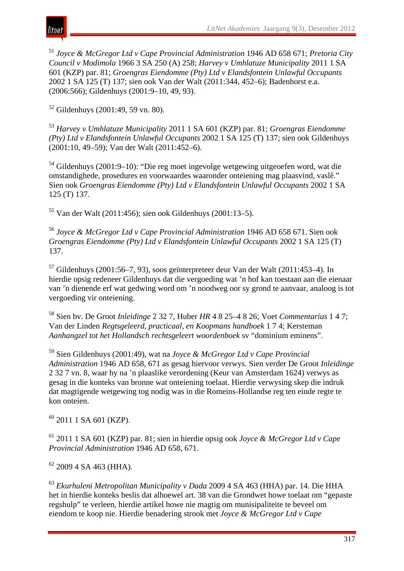

<sup>51</sup> *Joyce & McGregor Ltd v Cape Provincial Administration* 1946 AD 658 671; *Pretoria City Council v Modimola* 1966 3 SA 250 (A) 258; *Harvey v Umhlatuze Municipality* 2011 1 SA 601 (KZP) par. 81; *Groengras Eiendomme (Pty) Ltd v Elandsfontein Unlawful Occupants*  2002 1 SA 125 (T) 137; sien ook Van der Walt (2011:344, 452–6); Badenhorst e.a. (2006:566); Gildenhuys (2001:9–10, 49, 93).

 $52$  Gildenhuys (2001:49, 59 vn. 80).

<sup>53</sup> *Harvey v Umhlatuze Municipality* 2011 1 SA 601 (KZP) par. 81; *Groengras Eiendomme (Pty) Ltd v Elandsfontein Unlawful Occupants* 2002 1 SA 125 (T) 137; sien ook Gildenhuys (2001:10, 49–59); Van der Walt (2011:452–6).

<sup>54</sup> Gildenhuys (2001:9–10): "Die reg moet ingevolge wetgewing uitgeoefen word, wat die omstandighede, prosedures en voorwaardes waaronder onteiening mag plaasvind, vaslê." Sien ook *Groengras Eiendomme (Pty) Ltd v Elandsfontein Unlawful Occupants* 2002 1 SA 125 (T) 137.

<sup>55</sup> Van der Walt (2011:456); sien ook Gildenhuys (2001:13–5).

<sup>56</sup> *Joyce & McGregor Ltd v Cape Provincial Administration* 1946 AD 658 671. Sien ook *Groengras Eiendomme (Pty) Ltd v Elandsfontein Unlawful Occupants* 2002 1 SA 125 (T) 137.

 $57$  Gildenhuys (2001:56–7, 93), soos geïnterpreteer deur Van der Walt (2011:453–4). In hierdie opsig redeneer Gildenhuys dat die vergoeding wat 'n hof kan toestaan aan die eienaar van 'n dienende erf wat gedwing word om 'n noodweg oor sy grond te aanvaar, analoog is tot vergoeding vir onteiening.

<sup>58</sup> Sien bv. De Groot *Inleidinge* 2 32 7, Huber *HR* 4 8 25–4 8 26; Voet *Commentarius* 1 4 7; Van der Linden *Regtsgeleerd, practicaal, en Koopmans handboek* 1 7 4; Kersteman *Aanhangzel tot het Hollandsch rechtsgeleert woordenboek* sv "dominium eminens".

<sup>59</sup> Sien Gildenhuys (2001:49), wat na *Joyce & McGregor Ltd v Cape Provincial Administration* 1946 AD 658, 671 as gesag hiervoor verwys. Sien verder De Groot *Inleidinge*  2 32 7 vn. 8, waar hy na 'n plaaslike verordening (Keur van Amsterdam 1624) verwys as gesag in die konteks van bronne wat onteiening toelaat. Hierdie verwysing skep die indruk dat magtigende wetgewing tog nodig was in die Romeins-Hollandse reg ten einde regte te kon onteien.

 $60$  2011 1 SA 601 (KZP).

<sup>61</sup> 2011 1 SA 601 (KZP) par. 81; sien in hierdie opsig ook *Joyce & McGregor Ltd v Cape Provincial Administration* 1946 AD 658, 671.

 $62$  2009 4 SA 463 (HHA).

<sup>63</sup> *Ekurhuleni Metropolitan Municipality v Dada* 2009 4 SA 463 (HHA) par. 14. Die HHA het in hierdie konteks beslis dat alhoewel art. 38 van die Grondwet howe toelaat om "gepaste regshulp" te verleen, hierdie artikel howe nie magtig om munisipaliteite te beveel om eiendom te koop nie. Hierdie benadering strook met *Joyce & McGregor Ltd v Cape*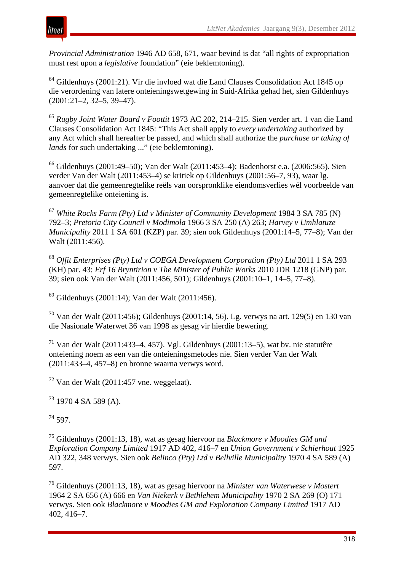

*Provincial Administration* 1946 AD 658, 671, waar bevind is dat "all rights of expropriation must rest upon a *legislative* foundation" (eie beklemtoning).

<sup>64</sup> Gildenhuys (2001:21). Vir die invloed wat die Land Clauses Consolidation Act 1845 op die verordening van latere onteieningswetgewing in Suid-Afrika gehad het, sien Gildenhuys (2001:21–2, 32–5, 39–47).

<sup>65</sup> *Rugby Joint Water Board v Foottit* 1973 AC 202, 214–215. Sien verder art. 1 van die Land Clauses Consolidation Act 1845: "This Act shall apply to *every undertaking* authorized by any Act which shall hereafter be passed, and which shall authorize the *purchase or taking of lands* for such undertaking ..." (eie beklemtoning).

<sup>66</sup> Gildenhuys (2001:49–50); Van der Walt (2011:453–4); Badenhorst e.a. (2006:565). Sien verder Van der Walt (2011:453–4) se kritiek op Gildenhuys (2001:56–7, 93), waar lg. aanvoer dat die gemeenregtelike reëls van oorspronklike eiendomsverlies wél voorbeelde van gemeenregtelike onteiening is.

<sup>67</sup> *White Rocks Farm (Pty) Ltd v Minister of Community Development* 1984 3 SA 785 (N) 792–3; *Pretoria City Council v Modimola* 1966 3 SA 250 (A) 263; *Harvey v Umhlatuze Municipality* 2011 1 SA 601 (KZP) par. 39; sien ook Gildenhuys (2001:14–5, 77–8); Van der Walt (2011:456).

<sup>68</sup> *Offit Enterprises (Pty) Ltd v COEGA Development Corporation (Pty) Ltd* 2011 1 SA 293 (KH) par. 43; *Erf 16 Bryntirion v The Minister of Public Works* 2010 JDR 1218 (GNP) par. 39; sien ook Van der Walt (2011:456, 501); Gildenhuys (2001:10–1, 14–5, 77–8).

<sup>69</sup> Gildenhuys (2001:14); Van der Walt (2011:456).

<sup>70</sup> Van der Walt (2011:456); Gildenhuys (2001:14, 56). Lg. verwys na art. 129(5) en 130 van die Nasionale Waterwet 36 van 1998 as gesag vir hierdie bewering.

<sup>71</sup> Van der Walt (2011:433–4, 457). Vgl. Gildenhuys (2001:13–5), wat bv. nie statutêre onteiening noem as een van die onteieningsmetodes nie. Sien verder Van der Walt (2011:433–4, 457–8) en bronne waarna verwys word.

 $72$  Van der Walt (2011:457 vne. weggelaat).

 $73$  1970 4 SA 589 (A).

 $74$  597.

<sup>75</sup> Gildenhuys (2001:13, 18), wat as gesag hiervoor na *Blackmore v Moodies GM and Exploration Company Limited* 1917 AD 402, 416–7 en *Union Government v Schierhout* 1925 AD 322, 348 verwys. Sien ook *Belinco (Pty) Ltd v Bellville Municipality* 1970 4 SA 589 (A) 597.

<sup>76</sup> Gildenhuys (2001:13, 18), wat as gesag hiervoor na *Minister van Waterwese v Mostert*  1964 2 SA 656 (A) 666 en *Van Niekerk v Bethlehem Municipality* 1970 2 SA 269 (O) 171 verwys. Sien ook *Blackmore v Moodies GM and Exploration Company Limited* 1917 AD 402, 416–7.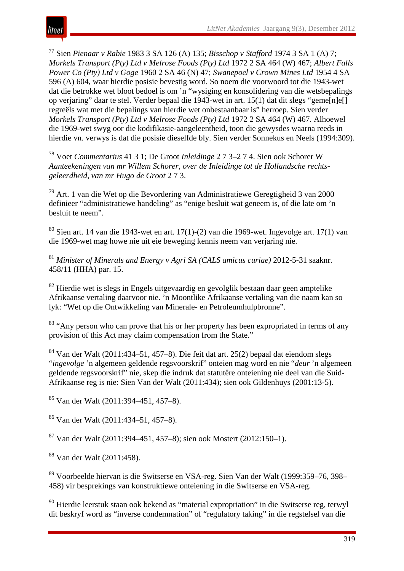<sup>77</sup> Sien *Pienaar v Rabie* 1983 3 SA 126 (A) 135; *Bisschop v Stafford* 1974 3 SA 1 (A) 7; *Morkels Transport (Pty) Ltd v Melrose Foods (Pty) Ltd* 1972 2 SA 464 (W) 467; *Albert Falls Power Co (Pty) Ltd v Goge* 1960 2 SA 46 (N) 47; *Swanepoel v Crown Mines Ltd* 1954 4 SA 596 (A) 604, waar hierdie posisie bevestig word. So noem die voorwoord tot die 1943-wet dat die betrokke wet bloot bedoel is om 'n "wysiging en konsolidering van die wetsbepalings op verjaring" daar te stel. Verder bepaal die 1943-wet in art. 15(1) dat dit slegs "geme[n]e[] regreëls wat met die bepalings van hierdie wet onbestaanbaar is" herroep. Sien verder *Morkels Transport (Pty) Ltd v Melrose Foods (Pty) Ltd* 1972 2 SA 464 (W) 467. Alhoewel die 1969-wet swyg oor die kodifikasie-aangeleentheid, toon die gewysdes waarna reeds in hierdie vn. verwys is dat die posisie dieselfde bly. Sien verder Sonnekus en Neels (1994:309).

<sup>78</sup> Voet *Commentarius* 41 3 1; De Groot *Inleidinge* 2 7 3–2 7 4. Sien ook Schorer W *Aanteekeningen van mr Willem Schorer, over de Inleidinge tot de Hollandsche rechtsgeleerdheid, van mr Hugo de Groot* 2 7 3.

<sup>79</sup> Art. 1 van die Wet op die Bevordering van Administratiewe Geregtigheid 3 van 2000 definieer "administratiewe handeling" as "enige besluit wat geneem is, of die late om 'n besluit te neem".

 $80$  Sien art. 14 van die 1943-wet en art. 17(1)-(2) van die 1969-wet. Ingevolge art. 17(1) van die 1969-wet mag howe nie uit eie beweging kennis neem van verjaring nie.

<sup>81</sup> *Minister of Minerals and Energy v Agri SA (CALS amicus curiae)* 2012-5-31 saaknr. 458/11 (HHA) par. 15.

<sup>82</sup> Hierdie wet is slegs in Engels uitgevaardig en gevolglik bestaan daar geen amptelike Afrikaanse vertaling daarvoor nie. 'n Moontlike Afrikaanse vertaling van die naam kan so lyk: "Wet op die Ontwikkeling van Minerale- en Petroleumhulpbronne".

<sup>83</sup> "Any person who can prove that his or her property has been expropriated in terms of any provision of this Act may claim compensation from the State."

<sup>84</sup> Van der Walt (2011:434–51, 457–8). Die feit dat art. 25(2) bepaal dat eiendom slegs "*ingevolge* 'n algemeen geldende regsvoorskrif" onteien mag word en nie "*deur* 'n algemeen geldende regsvoorskrif" nie, skep die indruk dat statutêre onteiening nie deel van die Suid-Afrikaanse reg is nie: Sien Van der Walt (2011:434); sien ook Gildenhuys (2001:13-5).

<sup>85</sup> Van der Walt (2011:394–451, 457–8).

<sup>86</sup> Van der Walt (2011:434–51, 457–8).

<sup>87</sup> Van der Walt (2011:394–451, 457–8); sien ook Mostert (2012:150–1).

<sup>88</sup> Van der Walt (2011:458).

<sup>89</sup> Voorbeelde hiervan is die Switserse en VSA-reg. Sien Van der Walt (1999:359–76, 398– 458) vir besprekings van konstruktiewe onteiening in die Switserse en VSA-reg.

<sup>90</sup> Hierdie leerstuk staan ook bekend as "material expropriation" in die Switserse reg, terwyl dit beskryf word as "inverse condemnation" of "regulatory taking" in die regstelsel van die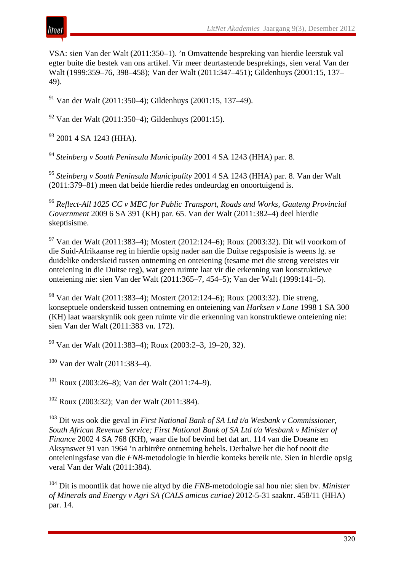

VSA: sien Van der Walt (2011:350–1). 'n Omvattende bespreking van hierdie leerstuk val egter buite die bestek van ons artikel. Vir meer deurtastende besprekings, sien veral Van der Walt (1999:359–76, 398–458); Van der Walt (2011:347–451); Gildenhuys (2001:15, 137– 49).

<sup>91</sup> Van der Walt (2011:350–4); Gildenhuys (2001:15, 137–49).

 $92$  Van der Walt (2011:350–4); Gildenhuys (2001:15).

 $93$  2001 4 SA 1243 (HHA).

<sup>94</sup> *Steinberg v South Peninsula Municipality* 2001 4 SA 1243 (HHA) par. 8.

<sup>95</sup> *Steinberg v South Peninsula Municipality* 2001 4 SA 1243 (HHA) par. 8. Van der Walt (2011:379–81) meen dat beide hierdie redes ondeurdag en onoortuigend is.

<sup>96</sup> *Reflect-All 1025 CC v MEC for Public Transport, Roads and Works, Gauteng Provincial Government* 2009 6 SA 391 (KH) par. 65. Van der Walt (2011:382–4) deel hierdie skeptisisme.

<sup>97</sup> Van der Walt (2011:383–4); Mostert (2012:124–6); Roux (2003:32). Dit wil voorkom of die Suid-Afrikaanse reg in hierdie opsig nader aan die Duitse regsposisie is weens lg. se duidelike onderskeid tussen ontneming en onteiening (tesame met die streng vereistes vir onteiening in die Duitse reg), wat geen ruimte laat vir die erkenning van konstruktiewe onteiening nie: sien Van der Walt (2011:365–7, 454–5); Van der Walt (1999:141–5).

<sup>98</sup> Van der Walt (2011:383–4); Mostert (2012:124–6); Roux (2003:32). Die streng, konseptuele onderskeid tussen ontneming en onteiening van *Harksen v Lane* 1998 1 SA 300 (KH) laat waarskynlik ook geen ruimte vir die erkenning van konstruktiewe onteiening nie: sien Van der Walt (2011:383 vn. 172).

<sup>99</sup> Van der Walt (2011:383–4); Roux (2003:2–3, 19–20, 32).

<sup>100</sup> Van der Walt (2011:383–4).

<sup>101</sup> Roux (2003:26–8): Van der Walt (2011:74–9).

<sup>102</sup> Roux (2003:32); Van der Walt (2011:384).

<sup>103</sup> Dit was ook die geval in *First National Bank of SA Ltd t/a Wesbank v Commissioner, South African Revenue Service; First National Bank of SA Ltd t/a Wesbank v Minister of Finance* 2002 4 SA 768 (KH), waar die hof bevind het dat art. 114 van die Doeane en Aksynswet 91 van 1964 'n arbitrêre ontneming behels. Derhalwe het die hof nooit die onteieningsfase van die *FNB*-metodologie in hierdie konteks bereik nie. Sien in hierdie opsig veral Van der Walt (2011:384).

<sup>104</sup> Dit is moontlik dat howe nie altyd by die *FNB*-metodologie sal hou nie: sien bv. *Minister of Minerals and Energy v Agri SA (CALS amicus curiae)* 2012-5-31 saaknr. 458/11 (HHA) par. 14.